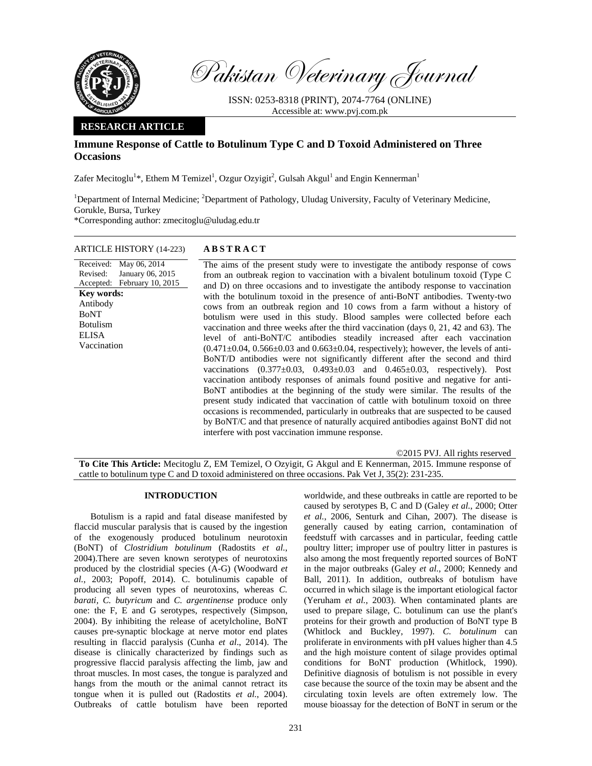

Pakistan Veterinary Journal

ISSN: 0253-8318 (PRINT), 2074-7764 (ONLINE) Accessible at: www.pvj.com.pk

# **RESEARCH ARTICLE**

# **Immune Response of Cattle to Botulinum Type C and D Toxoid Administered on Three Occasions**

Zafer Mecitoglu<sup>1</sup>\*, Ethem M Temizel<sup>1</sup>, Ozgur Ozyigit<sup>2</sup>, Gulsah Akgul<sup>1</sup> and Engin Kennerman<sup>1</sup>

<sup>1</sup>Department of Internal Medicine; <sup>2</sup>Department of Pathology, Uludag University, Faculty of Veterinary Medicine, Gorukle, Bursa, Turkey \*Corresponding author: zmecitoglu@uludag.edu.tr

#### ARTICLE HISTORY (14-223) **ABSTRACT**

January 06, 2015

Received: May 06, 2014

Accepted: February 10, 2015

Revised:

**Key words:**  Antibody BoNT Botulism ELISA Vaccination

# The aims of the present study were to investigate the antibody response of cows from an outbreak region to vaccination with a bivalent botulinum toxoid (Type C and D) on three occasions and to investigate the antibody response to vaccination with the botulinum toxoid in the presence of anti-BoNT antibodies. Twenty-two cows from an outbreak region and 10 cows from a farm without a history of botulism were used in this study. Blood samples were collected before each vaccination and three weeks after the third vaccination (days 0, 21, 42 and 63). The level of anti-BoNT/C antibodies steadily increased after each vaccination  $(0.471 \pm 0.04, 0.566 \pm 0.03$  and  $0.663 \pm 0.04$ , respectively); however, the levels of anti-BoNT/D antibodies were not significantly different after the second and third vaccinations  $(0.377 \pm 0.03, 0.493 \pm 0.03$  and  $0.465 \pm 0.03$ , respectively). Post vaccination antibody responses of animals found positive and negative for anti-BoNT antibodies at the beginning of the study were similar. The results of the present study indicated that vaccination of cattle with botulinum toxoid on three occasions is recommended, particularly in outbreaks that are suspected to be caused by BoNT/C and that presence of naturally acquired antibodies against BoNT did not interfere with post vaccination immune response.

©2015 PVJ. All rights reserved **To Cite This Article:** Mecitoglu Z, EM Temizel, O Ozyigit, G Akgul and E Kennerman, 2015. Immune response of cattle to botulinum type C and D toxoid administered on three occasions. Pak Vet J, 35(2): 231-235.

# **INTRODUCTION**

Botulism is a rapid and fatal disease manifested by flaccid muscular paralysis that is caused by the ingestion of the exogenously produced botulinum neurotoxin (BoNT) of *Clostridium botulinum* (Radostits *et al.*, 2004).There are seven known serotypes of neurotoxins produced by the clostridial species (A-G) (Woodward *et al.*, 2003; Popoff, 2014). C. botulinumis capable of producing all seven types of neurotoxins, whereas *C. barati, C. butyricum* and *C. argentinense* produce only one: the F, E and G serotypes, respectively (Simpson, 2004). By inhibiting the release of acetylcholine, BoNT causes pre-synaptic blockage at nerve motor end plates resulting in flaccid paralysis (Cunha *et al*., 2014). The disease is clinically characterized by findings such as progressive flaccid paralysis affecting the limb, jaw and throat muscles. In most cases, the tongue is paralyzed and hangs from the mouth or the animal cannot retract its tongue when it is pulled out (Radostits *et al.*, 2004). Outbreaks of cattle botulism have been reported

worldwide, and these outbreaks in cattle are reported to be caused by serotypes B, C and D (Galey *et al.*, 2000; Otter *et al.*, 2006, Senturk and Cihan, 2007). The disease is generally caused by eating carrion, contamination of feedstuff with carcasses and in particular, feeding cattle poultry litter; improper use of poultry litter in pastures is also among the most frequently reported sources of BoNT in the major outbreaks (Galey *et al.*, 2000; Kennedy and Ball, 2011). In addition, outbreaks of botulism have occurred in which silage is the important etiological factor (Yeruham *et al.*, 2003). When contaminated plants are used to prepare silage, C. botulinum can use the plant's proteins for their growth and production of BoNT type B (Whitlock and Buckley, 1997). *C. botulinum* can proliferate in environments with pH values higher than 4.5 and the high moisture content of silage provides optimal conditions for BoNT production (Whitlock, 1990). Definitive diagnosis of botulism is not possible in every case because the source of the toxin may be absent and the circulating toxin levels are often extremely low. The mouse bioassay for the detection of BoNT in serum or the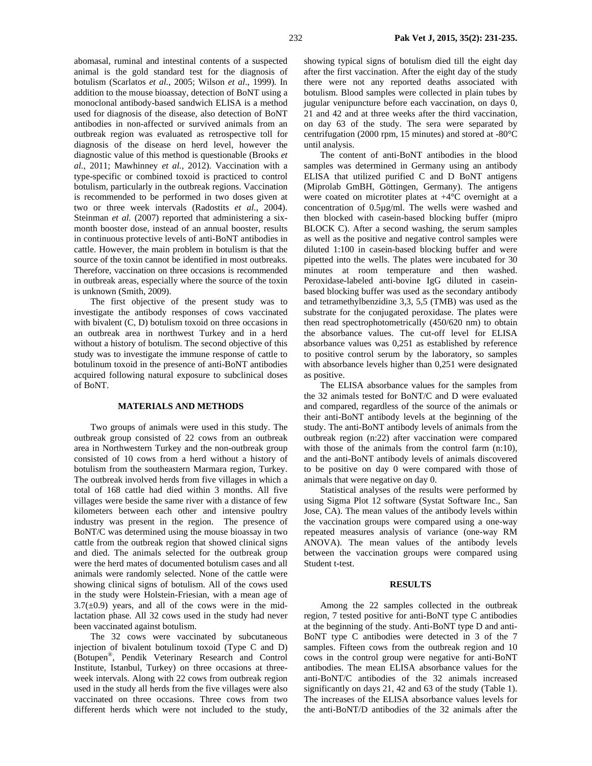abomasal, ruminal and intestinal contents of a suspected animal is the gold standard test for the diagnosis of botulism (Scarlatos *et al.*, 2005; Wilson *et al*., 1999). In addition to the mouse bioassay, detection of BoNT using a monoclonal antibody-based sandwich ELISA is a method used for diagnosis of the disease, also detection of BoNT antibodies in non-affected or survived animals from an outbreak region was evaluated as retrospective toll for diagnosis of the disease on herd level, however the diagnostic value of this method is questionable (Brooks *et al.*, 2011; Mawhinney *et al.*, 2012). Vaccination with a type-specific or combined toxoid is practiced to control botulism, particularly in the outbreak regions. Vaccination is recommended to be performed in two doses given at two or three week intervals (Radostits *et al.*, 2004). Steinman *et al.* (2007) reported that administering a sixmonth booster dose, instead of an annual booster, results in continuous protective levels of anti-BoNT antibodies in cattle. However, the main problem in botulism is that the source of the toxin cannot be identified in most outbreaks. Therefore, vaccination on three occasions is recommended in outbreak areas, especially where the source of the toxin is unknown (Smith, 2009).

The first objective of the present study was to investigate the antibody responses of cows vaccinated with bivalent (C, D) botulism toxoid on three occasions in an outbreak area in northwest Turkey and in a herd without a history of botulism. The second objective of this study was to investigate the immune response of cattle to botulinum toxoid in the presence of anti-BoNT antibodies acquired following natural exposure to subclinical doses of BoNT.

#### **MATERIALS AND METHODS**

Two groups of animals were used in this study. The outbreak group consisted of 22 cows from an outbreak area in Northwestern Turkey and the non-outbreak group consisted of 10 cows from a herd without a history of botulism from the southeastern Marmara region, Turkey. The outbreak involved herds from five villages in which a total of 168 cattle had died within 3 months. All five villages were beside the same river with a distance of few kilometers between each other and intensive poultry industry was present in the region. The presence of BoNT/C was determined using the mouse bioassay in two cattle from the outbreak region that showed clinical signs and died. The animals selected for the outbreak group were the herd mates of documented botulism cases and all animals were randomly selected. None of the cattle were showing clinical signs of botulism. All of the cows used in the study were Holstein-Friesian, with a mean age of  $3.7(\pm 0.9)$  years, and all of the cows were in the midlactation phase. All 32 cows used in the study had never been vaccinated against botulism.

The 32 cows were vaccinated by subcutaneous injection of bivalent botulinum toxoid (Type C and D) (Botupen®, Pendik Veterinary Research and Control Institute, Istanbul, Turkey) on three occasions at threeweek intervals. Along with 22 cows from outbreak region used in the study all herds from the five villages were also vaccinated on three occasions. Three cows from two different herds which were not included to the study,

showing typical signs of botulism died till the eight day after the first vaccination. After the eight day of the study there were not any reported deaths associated with botulism. Blood samples were collected in plain tubes by jugular venipuncture before each vaccination, on days 0, 21 and 42 and at three weeks after the third vaccination, on day 63 of the study. The sera were separated by centrifugation (2000 rpm, 15 minutes) and stored at -80°C until analysis.

The content of anti-BoNT antibodies in the blood samples was determined in Germany using an antibody ELISA that utilized purified C and D BoNT antigens (Miprolab GmBH, Göttingen, Germany). The antigens were coated on microtiter plates at +4°C overnight at a concentration of 0.5µg/ml. The wells were washed and then blocked with casein-based blocking buffer (mipro BLOCK C). After a second washing, the serum samples as well as the positive and negative control samples were diluted 1:100 in casein-based blocking buffer and were pipetted into the wells. The plates were incubated for 30 minutes at room temperature and then washed. Peroxidase-labeled anti-bovine IgG diluted in caseinbased blocking buffer was used as the secondary antibody and tetramethylbenzidine 3,3, 5,5 (TMB) was used as the substrate for the conjugated peroxidase. The plates were then read spectrophotometrically (450/620 nm) to obtain the absorbance values. The cut-off level for ELISA absorbance values was 0,251 as established by reference to positive control serum by the laboratory, so samples with absorbance levels higher than 0,251 were designated as positive.

The ELISA absorbance values for the samples from the 32 animals tested for BoNT/C and D were evaluated and compared, regardless of the source of the animals or their anti-BoNT antibody levels at the beginning of the study. The anti-BoNT antibody levels of animals from the outbreak region (n:22) after vaccination were compared with those of the animals from the control farm (n:10), and the anti-BoNT antibody levels of animals discovered to be positive on day 0 were compared with those of animals that were negative on day 0.

Statistical analyses of the results were performed by using Sigma Plot 12 software (Systat Software Inc., San Jose, CA). The mean values of the antibody levels within the vaccination groups were compared using a one-way repeated measures analysis of variance (one-way RM ANOVA). The mean values of the antibody levels between the vaccination groups were compared using Student t-test.

#### **RESULTS**

Among the 22 samples collected in the outbreak region, 7 tested positive for anti-BoNT type C antibodies at the beginning of the study. Anti-BoNT type D and anti-BoNT type C antibodies were detected in 3 of the 7 samples. Fifteen cows from the outbreak region and 10 cows in the control group were negative for anti-BoNT antibodies. The mean ELISA absorbance values for the anti-BoNT/C antibodies of the 32 animals increased significantly on days 21, 42 and 63 of the study (Table 1). The increases of the ELISA absorbance values levels for the anti-BoNT/D antibodies of the 32 animals after the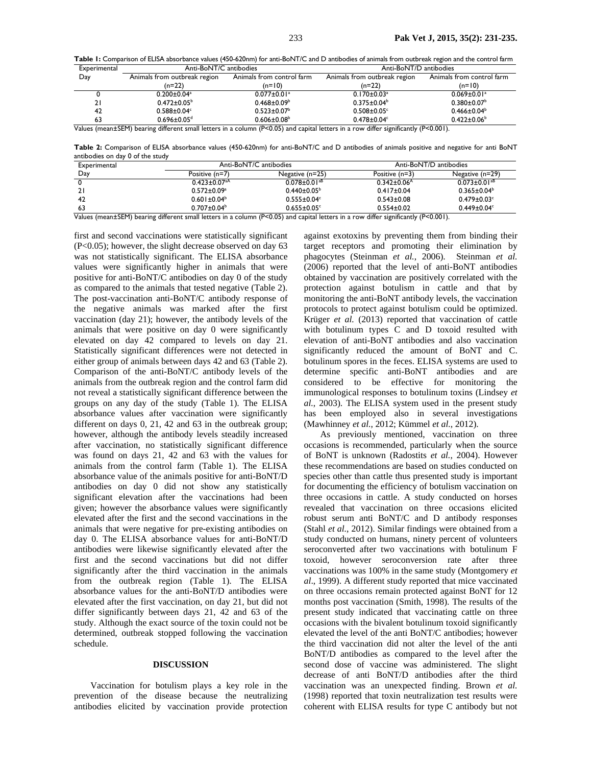**Table 1:** Comparison of ELISA absorbance values (450-620nm) for anti-BoNT/C and D antibodies of animals from outbreak region and the control farm

| Experimental | Anti-BoNT/C antibodies        |                               | Anti-BoNT/D antibodies        |                               |
|--------------|-------------------------------|-------------------------------|-------------------------------|-------------------------------|
| Day          | Animals from outbreak region  | Animals from control farm     | Animals from outbreak region  | Animals from control farm     |
|              | (n=22)                        | $(n=10)$                      | (n=22)                        | $(n=10)$                      |
|              | $0.200 \pm 0.04$ <sup>a</sup> | $0.077 \pm 0.01$ <sup>a</sup> | $0.170 \pm 0.03$ <sup>a</sup> | $0.069 \pm 0.01$ <sup>a</sup> |
|              | $0.472 \pm 0.05^{\circ}$      | $0.468 \pm 0.09^b$            | $0.375 \pm 0.04^b$            | $0.380 \pm 0.07$ <sup>b</sup> |
| 42           | $0.588 \pm 0.04$ °            | $0.523 \pm 0.07^{\circ}$      | $0.508 \pm 0.05$ <sup>c</sup> | $0.466 \pm 0.04^b$            |
| 63           | $0.696 \pm 0.05$ <sup>d</sup> | $0.606 \pm 0.08^b$            | $0.478 \pm 0.04$ <sup>c</sup> | $0.422 \pm 0.06^b$            |

Values (mean±SEM) bearing different small letters in a column (P<0.05) and capital letters in a row differ significantly (P<0.001).

**Table 2:** Comparison of ELISA absorbance values (450-620nm) for anti-BoNT/C and D antibodies of animals positive and negative for anti BoNT antibodies on day 0 of the study

| Experimental   | Anti-BoNT/C antibodies         |                                | Anti-BoNT/D antibodies        |                                |
|----------------|--------------------------------|--------------------------------|-------------------------------|--------------------------------|
| Day            | Positive (n=7)                 | Negative (n=25)                | Positive (n=3)                | Negative (n=29)                |
|                | $0.423 \pm 0.07$ <sup>aA</sup> | $0.078 \pm 0.01$ <sup>aB</sup> | $0.342 \pm 0.06$ <sup>A</sup> | $0.073 \pm 0.01$ <sup>aB</sup> |
|                | $0.572 \pm 0.09$ <sup>a</sup>  | $0.440 \pm 0.05^{\circ}$       | $0.417 \pm 0.04$              | $0.365 \pm 0.04^b$             |
| 42             | $0.601 \pm 0.04^b$             | $0.555 \pm 0.04$ °             | $0.543 \pm 0.08$              | $0.479 \pm 0.03$ °             |
| 63<br>$\cdots$ | $0.707 \pm 0.04^b$<br>$\cdots$ | $0.655 \pm 0.05$ °             | $0.554 \pm 0.02$              | $0.449 \pm 0.04$ <sup>c</sup>  |

Values (mean±SEM) bearing different small letters in a column (P<0.05) and capital letters in a row differ significantly (P<0.001).

first and second vaccinations were statistically significant (P<0.05); however, the slight decrease observed on day 63 was not statistically significant. The ELISA absorbance values were significantly higher in animals that were positive for anti-BoNT/C antibodies on day 0 of the study as compared to the animals that tested negative (Table 2). The post-vaccination anti-BoNT/C antibody response of the negative animals was marked after the first vaccination (day 21); however, the antibody levels of the animals that were positive on day 0 were significantly elevated on day 42 compared to levels on day 21. Statistically significant differences were not detected in either group of animals between days 42 and 63 (Table 2). Comparison of the anti-BoNT/C antibody levels of the animals from the outbreak region and the control farm did not reveal a statistically significant difference between the groups on any day of the study (Table 1). The ELISA absorbance values after vaccination were significantly different on days 0, 21, 42 and 63 in the outbreak group; however, although the antibody levels steadily increased after vaccination, no statistically significant difference was found on days 21, 42 and 63 with the values for animals from the control farm (Table 1). The ELISA absorbance value of the animals positive for anti-BoNT/D antibodies on day 0 did not show any statistically significant elevation after the vaccinations had been given; however the absorbance values were significantly elevated after the first and the second vaccinations in the animals that were negative for pre-existing antibodies on day 0. The ELISA absorbance values for anti-BoNT/D antibodies were likewise significantly elevated after the first and the second vaccinations but did not differ significantly after the third vaccination in the animals from the outbreak region (Table 1). The ELISA absorbance values for the anti-BoNT/D antibodies were elevated after the first vaccination, on day 21, but did not differ significantly between days 21, 42 and 63 of the study. Although the exact source of the toxin could not be determined, outbreak stopped following the vaccination schedule.

### **DISCUSSION**

Vaccination for botulism plays a key role in the prevention of the disease because the neutralizing antibodies elicited by vaccination provide protection

against exotoxins by preventing them from binding their target receptors and promoting their elimination by phagocytes (Steinman *et al.*, 2006). Steinman *et al.* (2006) reported that the level of anti-BoNT antibodies obtained by vaccination are positively correlated with the protection against botulism in cattle and that by monitoring the anti-BoNT antibody levels, the vaccination protocols to protect against botulism could be optimized. Krüger *et al.* (2013) reported that vaccination of cattle with botulinum types C and D toxoid resulted with elevation of anti-BoNT antibodies and also vaccination significantly reduced the amount of BoNT and C. botulinum spores in the feces. ELISA systems are used to determine specific anti-BoNT antibodies and are considered to be effective for monitoring the immunological responses to botulinum toxins (Lindsey *et al.*, 2003). The ELISA system used in the present study has been employed also in several investigations (Mawhinney *et al.*, 2012; Kümmel *et al.*, 2012).

As previously mentioned, vaccination on three occasions is recommended, particularly when the source of BoNT is unknown (Radostits *et al.*, 2004). However these recommendations are based on studies conducted on species other than cattle thus presented study is important for documenting the efficiency of botulism vaccination on three occasions in cattle. A study conducted on horses revealed that vaccination on three occasions elicited robust serum anti BoNT/C and D antibody responses (Stahl *et al.*, 2012). Similar findings were obtained from a study conducted on humans, ninety percent of volunteers seroconverted after two vaccinations with botulinum F toxoid, however seroconversion rate after three vaccinations was 100% in the same study (Montgomery *et al*., 1999). A different study reported that mice vaccinated on three occasions remain protected against BoNT for 12 months post vaccination (Smith, 1998). The results of the present study indicated that vaccinating cattle on three occasions with the bivalent botulinum toxoid significantly elevated the level of the anti BoNT/C antibodies; however the third vaccination did not alter the level of the anti BoNT/D antibodies as compared to the level after the second dose of vaccine was administered. The slight decrease of anti BoNT/D antibodies after the third vaccination was an unexpected finding. Brown *et al.* (1998) reported that toxin neutralization test results were coherent with ELISA results for type C antibody but not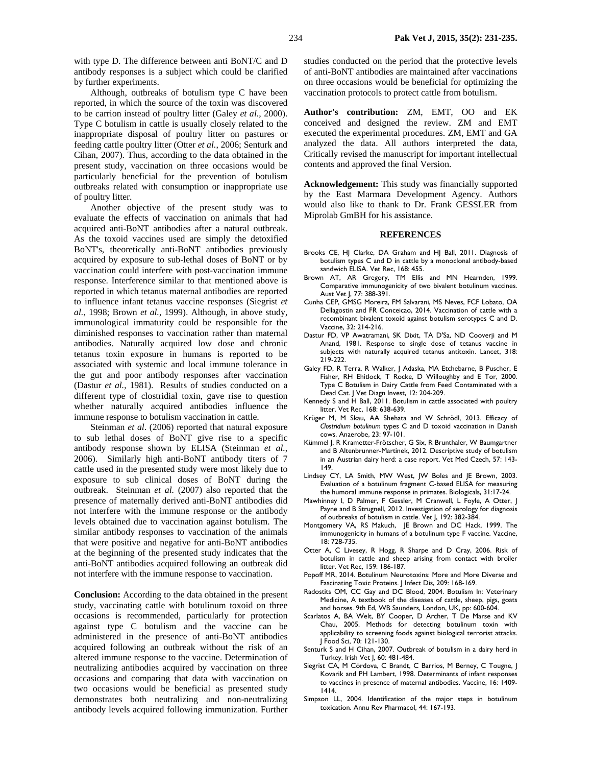with type D. The difference between anti BoNT/C and D antibody responses is a subject which could be clarified by further experiments.

Although, outbreaks of botulism type C have been reported, in which the source of the toxin was discovered to be carrion instead of poultry litter (Galey *et al.*, 2000). Type C botulism in cattle is usually closely related to the inappropriate disposal of poultry litter on pastures or feeding cattle poultry litter (Otter *et al.*, 2006; Senturk and Cihan, 2007). Thus, according to the data obtained in the present study, vaccination on three occasions would be particularly beneficial for the prevention of botulism outbreaks related with consumption or inappropriate use of poultry litter.

Another objective of the present study was to evaluate the effects of vaccination on animals that had acquired anti-BoNT antibodies after a natural outbreak. As the toxoid vaccines used are simply the detoxified BoNT's, theoretically anti-BoNT antibodies previously acquired by exposure to sub-lethal doses of BoNT or by vaccination could interfere with post-vaccination immune response. Interference similar to that mentioned above is reported in which tetanus maternal antibodies are reported to influence infant tetanus vaccine responses (Siegrist *et al.*, 1998; Brown *et al.*, 1999). Although, in above study, immunological immaturity could be responsible for the diminished responses to vaccination rather than maternal antibodies. Naturally acquired low dose and chronic tetanus toxin exposure in humans is reported to be associated with systemic and local immune tolerance in the gut and poor antibody responses after vaccination (Dastur *et al.*, 1981). Results of studies conducted on a different type of clostridial toxin, gave rise to question whether naturally acquired antibodies influence the immune response to botulism vaccination in cattle.

Steinman *et al*. (2006) reported that natural exposure to sub lethal doses of BoNT give rise to a specific antibody response shown by ELISA (Steinman *et al.*, 2006). Similarly high anti-BoNT antibody titers of 7 cattle used in the presented study were most likely due to exposure to sub clinical doses of BoNT during the outbreak. Steinman *et al.* (2007) also reported that the presence of maternally derived anti-BoNT antibodies did not interfere with the immune response or the antibody levels obtained due to vaccination against botulism. The similar antibody responses to vaccination of the animals that were positive and negative for anti-BoNT antibodies at the beginning of the presented study indicates that the anti-BoNT antibodies acquired following an outbreak did not interfere with the immune response to vaccination.

**Conclusion:** According to the data obtained in the present study, vaccinating cattle with botulinum toxoid on three occasions is recommended, particularly for protection against type C botulism and the vaccine can be administered in the presence of anti-BoNT antibodies acquired following an outbreak without the risk of an altered immune response to the vaccine. Determination of neutralizing antibodies acquired by vaccination on three occasions and comparing that data with vaccination on two occasions would be beneficial as presented study demonstrates both neutralizing and non-neutralizing antibody levels acquired following immunization. Further

studies conducted on the period that the protective levels of anti-BoNT antibodies are maintained after vaccinations on three occasions would be beneficial for optimizing the vaccination protocols to protect cattle from botulism.

**Author's contribution:** ZM, EMT, OO and EK conceived and designed the review. ZM and EMT executed the experimental procedures. ZM, EMT and GA analyzed the data. All authors interpreted the data, Critically revised the manuscript for important intellectual contents and approved the final Version.

**Acknowledgement:** This study was financially supported by the East Marmara Development Agency. Authors would also like to thank to Dr. Frank GESSLER from Miprolab GmBH for his assistance.

### **REFERENCES**

- Brooks CE, HJ Clarke, DA Graham and HJ Ball, 2011. Diagnosis of botulism types C and D in cattle by a monoclonal antibody-based sandwich ELISA. Vet Rec, 168: 455.
- Brown AT, AR Gregory, TM Ellis and MN Hearnden, 1999. Comparative immunogenicity of two bivalent botulinum vaccines. Aust Vet J, 77: 388-391.
- Cunha CEP, GMSG Moreira, FM Salvarani, MS Neves, FCF Lobato, OA Dellagostin and FR Conceicao, 2014. Vaccination of cattle with a recombinant bivalent toxoid against botulism serotypes C and D. Vaccine, 32: 214-216.
- Dastur FD, VP Awatramani, SK Dixit, TA D'Sa, ND Cooverji and M Anand, 1981. Response to single dose of tetanus vaccine in subjects with naturally acquired tetanus antitoxin. Lancet, 318: 219-222.
- Galey FD, R Terra, R Walker, J Adaska, MA Etchebarne, B Puscher, E Fisher, RH Ehitlock, T Rocke, D Willoughby and E Tor, 2000. Type C Botulism in Dairy Cattle from Feed Contaminated with a Dead Cat. J Vet Diagn Invest, 12: 204-209.
- Kennedy S and H Ball, 2011. Botulism in cattle associated with poultry litter. Vet Rec, 168: 638-639.
- Krüger M, M Skau, AA Shehata and W Schrödl, 2013. Efficacy of *Clostridium botulinum* types C and D toxoid vaccination in Danish cows. Anaerobe, 23: 97-101.
- Kümmel J, R Krametter-Frötscher, G Six, R Brunthaler, W Baumgartner and B Altenbrunner-Martinek, 2012. Descriptive study of botulism in an Austrian dairy herd: a case report. Vet Med Czech, 57: 143- 149.
- Lindsey CY, LA Smith, MW West, JW Boles and JE Brown, 2003. Evaluation of a botulinum fragment C-based ELISA for measuring the humoral immune response in primates. Biologicals, 31:17-24.
- Mawhinney I, D Palmer, F Gessler, M Cranwell, L Foyle, A Otter, J Payne and B Strugnell, 2012. Investigation of serology for diagnosis of outbreaks of botulism in cattle. Vet J, 192: 382-384.
- Montgomery VA, RS Makuch, JE Brown and DC Hack, 1999. The immunogenicity in humans of a botulinum type F vaccine. Vaccine, 18: 728-735.
- Otter A, C Livesey, R Hogg, R Sharpe and D Cray, 2006. Risk of botulism in cattle and sheep arising from contact with broiler litter. Vet Rec, 159: 186-187.
- Popoff MR, 2014. Botulinum Neurotoxins: More and More Diverse and Fascinating Toxic Proteins. J Infect Dis, 209: 168-169.
- Radostits OM, CC Gay and DC Blood, 2004. Botulism In: Veterinary Medicine, A textbook of the diseases of cattle, sheep, pigs, goats and horses. 9th Ed, WB Saunders, London, UK, pp: 600-604.
- Scarlatos A, BA Welt, BY Cooper, D Archer, T De Marse and KV Chau, 2005. Methods for detecting botulinum toxin with applicability to screening foods against biological terrorist attacks. J Food Sci, 70: 121-130.
- Senturk S and H Cihan, 2007. Outbreak of botulism in a dairy herd in Turkey. Irish Vet J, 60: 481-484.
- Siegrist CA, M Córdova, C Brandt, C Barrios, M Berney, C Tougne, J Kovarik and PH Lambert, 1998. Determinants of infant responses to vaccines in presence of maternal antibodies. Vaccine, 16: 1409- 1414.
- Simpson LL, 2004. Identification of the major steps in botulinum toxication. Annu Rev Pharmacol, 44: 167-193.